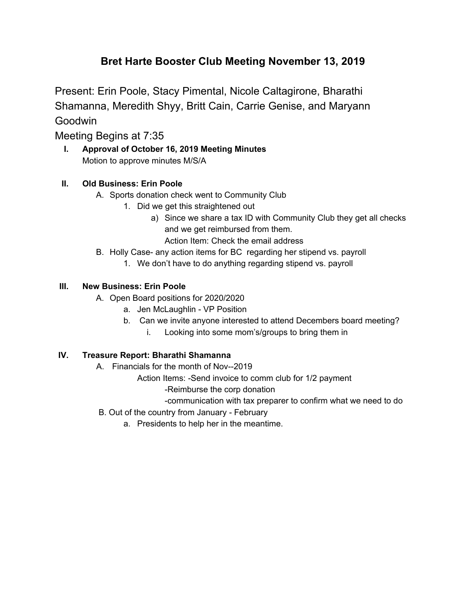# **Bret Harte Booster Club Meeting November 13, 2019**

Present: Erin Poole, Stacy Pimental, Nicole Caltagirone, Bharathi Shamanna, Meredith Shyy, Britt Cain, Carrie Genise, and Maryann **Goodwin** 

Meeting Begins at 7:35

**I. Approval of October 16, 2019 Meeting Minutes** Motion to approve minutes M/S/A

## **II. Old Business: Erin Poole**

- A. Sports donation check went to Community Club
	- 1. Did we get this straightened out
		- a) Since we share a tax ID with Community Club they get all checks and we get reimbursed from them. Action Item: Check the email address
- B. Holly Case- any action items for BC regarding her stipend vs. payroll
	- 1. We don't have to do anything regarding stipend vs. payroll

## **III. New Business: Erin Poole**

- A. Open Board positions for 2020/2020
	- a. Jen McLaughlin VP Position
	- b. Can we invite anyone interested to attend Decembers board meeting?
		- i. Looking into some mom's/groups to bring them in

## **IV. Treasure Report: Bharathi Shamanna**

- A. Financials for the month of Nov--2019
	- Action Items: -Send invoice to comm club for 1/2 payment
		- -Reimburse the corp donation
	- -communication with tax preparer to confirm what we need to do
- B. Out of the country from January February
	- a. Presidents to help her in the meantime.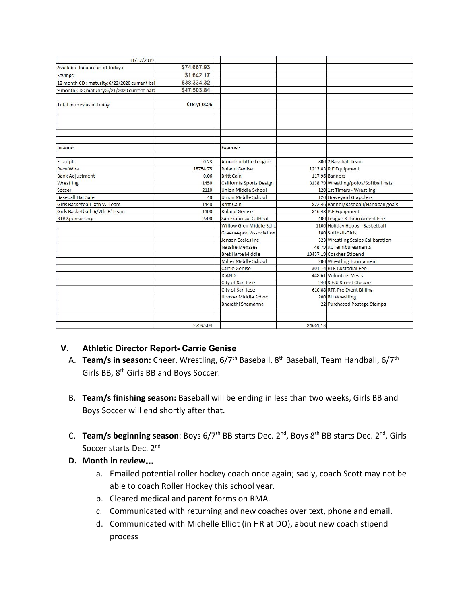| 11/12/2019                                   |              |                                |          |                                       |
|----------------------------------------------|--------------|--------------------------------|----------|---------------------------------------|
| Available balance as of today:               | \$74,657.93  |                                |          |                                       |
| Savings:                                     | \$1,642.17   |                                |          |                                       |
| 12 month CD : maturity:6/22/2020 current bal | \$38,334.32  |                                |          |                                       |
| 9 month CD : maturity:6/21/2020 current bala | \$47,503.84  |                                |          |                                       |
|                                              |              |                                |          |                                       |
| Total money as of today                      | \$162,138.26 |                                |          |                                       |
|                                              |              |                                |          |                                       |
|                                              |              |                                |          |                                       |
|                                              |              |                                |          |                                       |
|                                              |              |                                |          |                                       |
|                                              |              |                                |          |                                       |
| Income                                       |              | <b>Expense</b>                 |          |                                       |
|                                              |              |                                |          |                                       |
| E-script                                     | 0.23         | Almaden Little League          |          | 800 2 Baseball Team                   |
| <b>Race Wire</b>                             | 18754.75     | <b>Roland Genise</b>           |          | 1213.83 P.E Equipment                 |
| <b>Bank Adjustment</b>                       | 0.06         | <b>Britt Cain</b>              |          | 117.96 Banners                        |
| Wrestling                                    | 1450         | California Sports Design       |          | 3138.79 Wrestling/polos/Softball hats |
| Soccer                                       | 2110         | <b>Union Middle School</b>     |          | 120 1st Timers - Wrestling            |
| <b>Baseball Hat Sale</b>                     | 40           | <b>Union Middle School</b>     |          | 120 Graveyard Grapplers               |
| Girls Basketball -8th 'A' Team               | 1440         | <b>Britt Cain</b>              |          | 822.46 Banner/Baseball/Handball goals |
| Girls Basketball -6/7th 'B' Team             | 1100         | <b>Roland Genise</b>           |          | 816.48 P.E Equipment                  |
| <b>RTR Sponsorship</b>                       | 2700         | San Francisco CalHeat          |          | 400 League & Tournament Fee           |
|                                              |              | <b>Willow Glen Middle Scho</b> |          | 1100 Holiday Hoops - Basketball       |
|                                              |              | <b>Greenesport Association</b> |          | 180 Softball-Girls                    |
|                                              |              | Jensen Scales Inc              |          | 323 Wrestling Scales Calibaration     |
|                                              |              | <b>Natalie Mensses</b>         |          | 48.79 XC reimburesments               |
|                                              |              | <b>Bret Harte Middle</b>       |          | 13437.19 Coaches Stipend              |
|                                              |              | Miller Middle School           |          | 200 Wrestling Tournament              |
|                                              |              | Carrie Genise                  |          | 301.14 RTR Custodial Fee              |
|                                              |              | <b>ICAND</b>                   |          | 448.61 Volunteer Vests                |
|                                              |              | City of San Jose               |          | 240 S.E.U Street Closure              |
|                                              |              | City of San Jose               |          | 610.88 RTR Pre Event Billing          |
|                                              |              | Hoover Middle School           |          | 200 BH Wrestling                      |
|                                              |              | Bharathi Shamanna              |          | 22 Purchased Postage Stamps           |
|                                              |              |                                |          |                                       |
|                                              |              |                                |          |                                       |
|                                              | 27595.04     |                                | 24661.13 |                                       |

## **V. Athletic Director Report- Carrie Genise**

- A. Team/s in season: Cheer, Wrestling, 6/7<sup>th</sup> Baseball, 8<sup>th</sup> Baseball, Team Handball, 6/7<sup>th</sup> Girls BB, 8<sup>th</sup> Girls BB and Boys Soccer.
- B. **Team/s finishing season:** Baseball will be ending in less than two weeks, Girls BB and Boys Soccer will end shortly after that.
- C. Team/s beginning season: Boys 6/7<sup>th</sup> BB starts Dec. 2<sup>nd</sup>, Boys 8<sup>th</sup> BB starts Dec. 2<sup>nd</sup>, Girls Soccer starts Dec. 2<sup>nd</sup>
- **D. Month in review**…
	- a. Emailed potential roller hockey coach once again; sadly, coach Scott may not be able to coach Roller Hockey this school year.
	- b. Cleared medical and parent forms on RMA.
	- c. Communicated with returning and new coaches over text, phone and email.
	- d. Communicated with Michelle Elliot (in HR at DO), about new coach stipend process